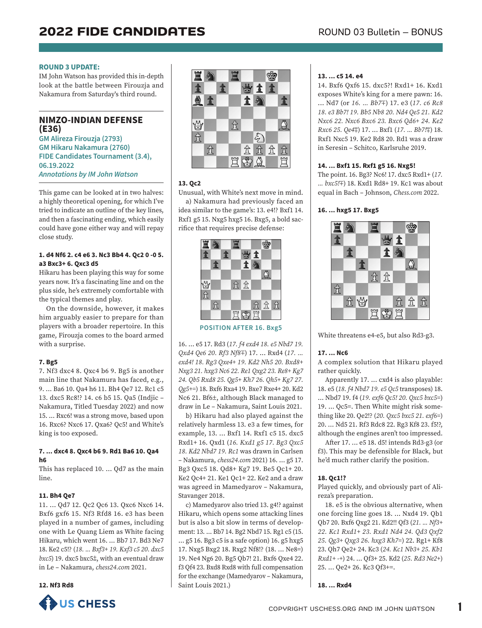#### **ROUND 3 UPDATE:**

IM John Watson has provided this in-depth look at the battle between Firouzja and Nakamura from Saturday's third round.

**NIMZO-INDIAN DEFENSE (E36) GM Alireza Firouzja (2793)** 

**GM Hikaru Nakamura (2760) FIDE Candidates Tournament (3.4), 06.19.2022** *Annotations by IM John Watson*

This game can be looked at in two halves: a highly theoretical opening, for which I've tried to indicate an outline of the key lines, and then a fascinating ending, which easily could have gone either way and will repay close study.

## **1. d4 Nf6 2. c4 e6 3. Nc3 Bb4 4. Qc2 0 -0 5. a3 Bxc3+ 6. Qxc3 d5**

Hikaru has been playing this way for some years now. It's a fascinating line and on the plus side, he's extremely comfortable with the typical themes and play.

On the downside, however, it makes him arguably easier to prepare for than players with a broader repertoire. In this game, Firouzja comes to the board armed with a surprise.

## **7. Bg5**

7. Nf3 dxc4 8. Qxc4 b6 9. Bg5 is another main line that Nakamura has faced, e.g., 9. ... Ba6 10. Qa4 h6 11. Bh4 Qe7 12. Rc1 c5 13. dxc5 Rc8!? 14. c6 b5 15. Qa5 (Indjic – Nakamura, Titled Tuesday 2022) and now 15. ... Rxc6! was a strong move, based upon 16. Rxc6? Nxc6 17. Qxa6? Qc5! and White's king is too exposed.

## **7. ... dxc4 8. Qxc4 b6 9. Rd1 Ba6 10. Qa4 h6**

This has replaced 10. ... Qd7 as the main line.

## **11. Bh4 Qe7**

11. ... Qd7 12. Qc2 Qc6 13. Qxc6 Nxc6 14. Bxf6 gxf6 15. Nf3 Rfd8 16. e3 has been played in a number of games, including one with Le Quang Liem as White facing Hikaru, which went 16. ... Bb7 17. Bd3 Ne7 18. Ke2 c5!? (*18. ... Bxf3+ 19. Kxf3 c5 20. dxc5*   $bxc5$ ) 19. dxc5 bxc5 $\pm$ , with an eventual draw in Le – Nakamura, *chess24.com* 2021.

#### **12. Nf3 Rd8**





## **13. Qc2**

Unusual, with White's next move in mind. a) Nakamura had previously faced an idea similar to the game's: 13. e4!? Bxf1 14. Rxf1 g5 15. Nxg5 hxg5 16. Bxg5, a bold sacrifice that requires precise defense:



**POSITION AFTER 16. Bxg5**

16. ... e5 17. Rd3 (*17. f4 exd4 18. e5 Nbd7 19. Qxd4 Qe6 20. Rf3 Nf8*Æ) 17. ... Rxd4 (*17. ... exd4! 18. Rg3 Qxe4+ 19. Kd2 Nh5 20. Bxd8+ Nxg3 21. hxg3 Nc6 22. Re1 Qxg2 23. Re8+ Kg7 24. Qb5 Rxd8 25. Qg5+ Kh7 26. Qh5+ Kg7 27. Qg5+=*) 18. Bxf6 Rxa4 19. Bxe7 Rxe4+ 20. Kd2 Nc6 21. Bf6±, although Black managed to draw in Le – Nakamura, Saint Louis 2021.

b) Hikaru had also played against the relatively harmless 13. e3 a few times, for example, 13. ... Bxf1 14. Rxf1 c5 15. dxc5 Rxd1+ 16. Qxd1 (*16. Kxd1 g5 17. Bg3 Qxc5 18. Kd2 Nbd7 19. Rc1* was drawn in Carlsen – Nakamura, *chess24.com* 2021) 16. ... g5 17. Bg3 Qxc5 18. Qd8+ Kg7 19. Be5 Qc1+ 20. Ke2 Qc4+ 21. Ke1 Qc1+ 22. Ke2 and a draw was agreed in Mamedyarov – Nakamura, Stavanger 2018.

c) Mamedyarov also tried 13. g4!? against Hikaru, which opens some attacking lines but is also a bit slow in terms of development: 13. ... Bb7 14. Bg2 Nbd7 15. Rg1 c5 (15. ... g5 16. Bg3 c5 is a safe option) 16. g5 hxg5 17. Nxg5 Bxg2 18. Rxg2 Nf8!? (18. ... Ne8=) 19. Ne4 Ng6 20. Bg5 Qb7! 21. Bxf6 Qxe4 22. f3 Qf4 23. Bxd8 Rxd8 with full compensation for the exchange (Mamedyarov – Nakamura, Saint Louis 2021.)

#### **13. ... c5 14. e4**

14. Bxf6 Qxf6 15. dxc5?! Rxd1+ 16. Kxd1 exposes White's king for a mere pawn: 16. ... Nd7 (or *16. ... Bb7*Æ) 17. e3 (*17. c6 Rc8 18. e3 Bb7! 19. Bb5 Nb8 20. Nd4 Qe5 21. Kd2 Nxc6 22. Nxc6 Bxc6 23. Bxc6 Qd6+ 24. Ke2 Rxc6 25. Qe4*Ã) 17. ... Bxf1 (*17. ... Bb7!*Ã) 18. Rxf1 Nxc5 19. Ke2 Rd8 20. Rd1 was a draw in Seresin – Schitco, Karlsruhe 2019.

#### **14. ... Bxf1 15. Rxf1 g5 16. Nxg5!**

The point. 16. Bg3? Nc6! 17. dxc5 Rxd1+ (*17. ... bxc5!*Æ) 18. Kxd1 Rd8+ 19. Kc1 was about equal in Bach – Johnson, *Chess.com* 2022.

# **16. ... hxg5 17. Bxg5**



White threatens e4-e5, but also Rd3-g3.

## **17. ... Nc6**

A complex solution that Hikaru played rather quickly.

Apparently 17. ... cxd4 is also playable: 18. e5 (*18. f4 Nbd7 19. e5 Qc5* transposes) 18. ... Nbd7 19. f4 (*19. exf6 Qc5! 20. Qxc5 bxc5=*) 19. ... Qc5=. Then White might risk something like 20. Qe2!? (*20. Qxc5 bxc5 21. exf6=*) 20. ... Nd5 21. Rf3 Rdc8 22. Rg3 Kf8 23. f5!?, although the engines aren't too impressed.

After 17. ... e5 18. d5! intends Rd3-g3 (or f3). This may be defensible for Black, but he'd much rather clarify the position.

## **18. Qc1!?**

Played quickly, and obviously part of Alireza's preparation.

18. e5 is the obvious alternative, when one forcing line goes 18. ... Nxd4 19. Qb1 Qb7 20. Bxf6 Qxg2 21. Kd2!! Qf3 (*21. ... Nf3+ 22. Kc1 Rxd1+ 23. Rxd1 Nd4 24. Qd3 Qxf2 25. Qg3+ Qxg3 26. hxg3 Kh7=*) 22. Rg1+ Kf8 23. Qh7 Qe2+ 24. Kc3 (*24. Kc1 Nb3+ 25. Kb1 Rxd1+ -+*) 24. ... Qf3+ 25. Kd2 (*25. Rd3 Ne2+*) 25. ... Qe2+ 26. Kc3 Qf3+=.

**18. ... Rxd4**